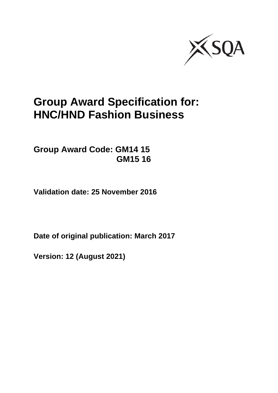

# **Group Award Specification for: HNC/HND Fashion Business**

**Group Award Code: GM14 15 GM15 16**

**Validation date: 25 November 2016**

**Date of original publication: March 2017**

**Version: 12 (August 2021)**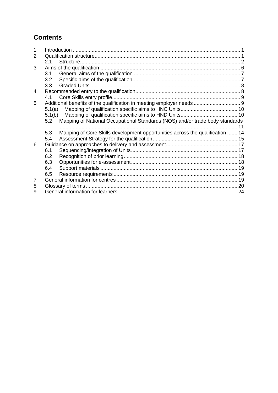## **Contents**

| 2 |        |                                                                               |  |
|---|--------|-------------------------------------------------------------------------------|--|
|   | 2.1    |                                                                               |  |
| 3 |        |                                                                               |  |
|   | 3.1    |                                                                               |  |
|   | 3.2    |                                                                               |  |
|   | 3.3    | Graded Units                                                                  |  |
| 4 |        |                                                                               |  |
|   | 4.1    |                                                                               |  |
| 5 |        |                                                                               |  |
|   | 5.1(a) |                                                                               |  |
|   | 5.1(b) |                                                                               |  |
|   | 5.2    | Mapping of National Occupational Standards (NOS) and/or trade body standards  |  |
|   |        |                                                                               |  |
|   | 5.3    | Mapping of Core Skills development opportunities across the qualification  14 |  |
|   | 5.4    |                                                                               |  |
| 6 |        |                                                                               |  |
|   | 6.1    |                                                                               |  |
|   | 6.2    |                                                                               |  |
|   | 6.3    |                                                                               |  |
|   | 6.4    |                                                                               |  |
|   | 6.5    |                                                                               |  |
| 7 |        |                                                                               |  |
| 8 |        |                                                                               |  |
| 9 |        |                                                                               |  |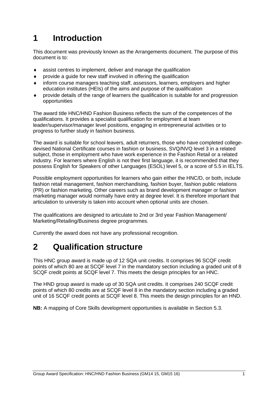# <span id="page-2-0"></span>**1 Introduction**

This document was previously known as the Arrangements document. The purpose of this document is to:

- assist centres to implement, deliver and manage the qualification
- provide a guide for new staff involved in offering the qualification
- inform course managers teaching staff, assessors, learners, employers and higher education institutes (HEIs) of the aims and purpose of the qualification
- provide details of the range of learners the qualification is suitable for and progression opportunities

The award title HNC/HND Fashion Business reflects the sum of the competences of the qualifications. It provides a specialist qualification for employment at team leader/supervisor/manager level positions, engaging in entrepreneurial activities or to progress to further study in fashion business.

The award is suitable for school leavers, adult returners, those who have completed collegedevised National Certificate courses in fashion or business, SVQ/NVQ level 3 in a related subject, those in employment who have work experience in the Fashion Retail or a related industry. For learners where English is not their first language, it is recommended that they possess English for Speakers of other Languages (ESOL) level 5, or a score of 5.5 in IELTS.

Possible employment opportunities for learners who gain either the HNC/D, or both, include fashion retail management, fashion merchandising, fashion buyer, fashion public relations (PR) or fashion marketing. Other careers such as brand development manager or fashion marketing manager would normally have entry at degree level. It is therefore important that articulation to university is taken into account when optional units are chosen.

The qualifications are designed to articulate to 2nd or 3rd year Fashion Management/ Marketing/Retailing/Business degree programmes.

Currently the award does not have any professional recognition.

# <span id="page-2-1"></span>**2 Qualification structure**

This HNC group award is made up of 12 SQA unit credits. It comprises 96 SCQF credit points of which 80 are at SCQF level 7 in the mandatory section including a graded unit of 8 SCQF credit points at SCQF level 7. This meets the design principles for an HNC.

The HND group award is made up of 30 SQA unit credits. It comprises 240 SCQF credit points of which 80 credits are at SCQF level 8 in the mandatory section including a graded unit of 16 SCQF credit points at SCQF level 8. This meets the design principles for an HND.

**NB:** A mapping of Core Skills development opportunities is available in Section 5.3.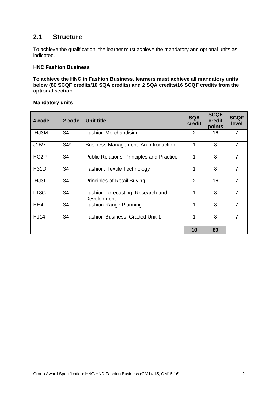### <span id="page-3-0"></span>**2.1 Structure**

To achieve the qualification, the learner must achieve the mandatory and optional units as indicated.

#### **HNC Fashion Business**

**To achieve the HNC in Fashion Business, learners must achieve all mandatory units below (80 SCQF credits/10 SQA credits) and 2 SQA credits/16 SCQF credits from the optional section.**

#### **Mandatory units**

| 4 code            | 2 code | <b>Unit title</b>                                | <b>SQA</b><br>credit | <b>SCQF</b><br>credit<br>points | <b>SCQF</b><br>level |
|-------------------|--------|--------------------------------------------------|----------------------|---------------------------------|----------------------|
| HJ3M              | 34     | <b>Fashion Merchandising</b>                     | 2                    | 16                              |                      |
| J1BV              | $34*$  | Business Management: An Introduction             | 1                    | 8                               | 7                    |
| HC <sub>2</sub> P | 34     | <b>Public Relations: Principles and Practice</b> | 1                    | 8                               | 7                    |
| <b>H31D</b>       | 34     | <b>Fashion: Textile Technology</b>               | 1                    | 8                               | 7                    |
| HJ3L              | 34     | <b>Principles of Retail Buying</b>               | 2                    | 16                              | 7                    |
| <b>F18C</b>       | 34     | Fashion Forecasting: Research and<br>Development | 1                    | 8                               | 7                    |
| HH4L              | 34     | <b>Fashion Range Planning</b>                    | 1                    | 8                               | 7                    |
| <b>HJ14</b>       | 34     | <b>Fashion Business: Graded Unit 1</b>           | 1                    | 8                               | 7                    |
|                   |        |                                                  | 10                   | 80                              |                      |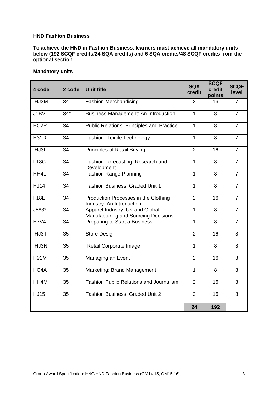#### **HND Fashion Business**

**To achieve the HND in Fashion Business, learners must achieve all mandatory units below (192 SCQF credits/24 SQA credits) and 6 SQA credits/48 SCQF credits from the optional section.**

#### **Mandatory units**

| 4 code            | 2 code | <b>Unit title</b>                                                              | <b>SQA</b><br>credit | <b>SCQF</b><br>credit<br>points | <b>SCQF</b><br>level |
|-------------------|--------|--------------------------------------------------------------------------------|----------------------|---------------------------------|----------------------|
| HJ3M              | 34     | <b>Fashion Merchandising</b>                                                   | 2                    | 16                              | 7                    |
| J1BV              | $34*$  | Business Management: An Introduction                                           | 1                    | 8                               | $\overline{7}$       |
| HC <sub>2</sub> P | 34     | <b>Public Relations: Principles and Practice</b>                               | $\mathbf{1}$         | 8                               | $\overline{7}$       |
| <b>H31D</b>       | 34     | <b>Fashion: Textile Technology</b>                                             | $\mathbf{1}$         | 8                               | $\overline{7}$       |
| HJ3L              | 34     | Principles of Retail Buying                                                    | 2                    | 16                              | $\overline{7}$       |
| <b>F18C</b>       | 34     | Fashion Forecasting: Research and<br>Development                               | $\mathbf{1}$         | 8                               | $\overline{7}$       |
| HH4L              | 34     | <b>Fashion Range Planning</b>                                                  | $\mathbf{1}$         | 8                               | $\overline{7}$       |
| <b>HJ14</b>       | 34     | <b>Fashion Business: Graded Unit 1</b>                                         |                      | 8                               | $\overline{7}$       |
| <b>F18E</b>       | 34     | Production Processes in the Clothing<br>Industry: An Introduction              | $\overline{2}$       | 16                              | $\overline{7}$       |
| J583*             | 34     | Apparel Industry: UK and Global<br><b>Manufacturing and Sourcing Decisions</b> | 1                    | 8                               | $\overline{7}$       |
| <b>H7V4</b>       | 34     | Preparing to Start a Business                                                  | 1                    | 8                               | $\overline{7}$       |
| HJ3T              | 35     | <b>Store Design</b>                                                            | $\overline{2}$       | 16                              | 8                    |
| HJ3N              | 35     | Retail Corporate Image                                                         | 1                    | 8                               | 8                    |
| <b>H91M</b>       | 35     | Managing an Event                                                              | $\overline{2}$       | 16                              | 8                    |
| HC4A              | 35     | Marketing: Brand Management                                                    | 1                    | 8                               | 8                    |
| HH4M              | 35     | <b>Fashion Public Relations and Journalism</b>                                 | $\overline{2}$       | 16                              | 8                    |
| <b>HJ15</b>       | 35     | <b>Fashion Business: Graded Unit 2</b>                                         | $\overline{2}$       | 16                              | 8                    |
|                   |        |                                                                                | 24                   | 192                             |                      |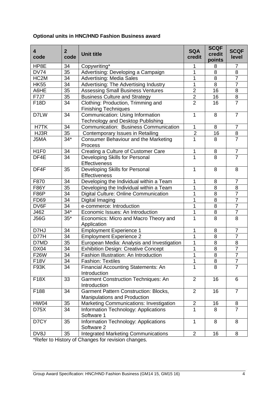#### **Optional units in HNC/HND Fashion Business award**

| 4<br>code         | $\overline{2}$<br>code | <b>Unit title</b>                                                            | <b>SQA</b><br>credit    | <b>SCQF</b><br>credit<br>points | <b>SCQF</b><br>level |
|-------------------|------------------------|------------------------------------------------------------------------------|-------------------------|---------------------------------|----------------------|
| HP8E              | 34                     | Copywriting*                                                                 | 1                       | 8                               | 7                    |
| <b>DV74</b>       | 35                     | Advertising: Developing a Campaign                                           | 1                       | 8                               | 8                    |
| HC <sub>2</sub> M | 34                     | <b>Advertising: Media Sales</b>                                              | $\mathbf 1$             | 8                               | $\overline{7}$       |
| <b>HK55</b>       | 34                     | Advertising: The Advertising Industry                                        | 1                       | 8                               | $\overline{7}$       |
| A6HE              | 35                     | <b>Assessing Small Business Ventures</b>                                     | $\overline{2}$          | 16                              | 8                    |
| <b>F7J7</b>       | 35                     | <b>Business Culture and Strategy</b>                                         | $\overline{\mathbf{c}}$ | 16                              | $\,8\,$              |
| F18D              | 34                     | Clothing: Production, Trimming and<br><b>Finishing Techniques</b>            | $\overline{2}$          | 16                              | $\overline{7}$       |
| D7LW              | 34                     | Communication: Using Information<br><b>Technology and Desktop Publishing</b> | 1                       | 8                               | $\overline{7}$       |
| H7TK              | 34                     | <b>Communication: Business Communication</b>                                 | 1                       | 8                               | $\overline{7}$       |
| HJ3R              | 35                     | Contemporary Issues in Retailing                                             | $\overline{2}$          | 16                              | 8                    |
| J5MA              | $34*$                  | Consumer Behaviour and the Marketing<br>Process                              | $\overline{1}$          | 8                               | $\overline{7}$       |
| H <sub>1F0</sub>  | 34                     | Creating a Culture of Customer Care                                          | 1                       | 8                               | $\overline{7}$       |
| DF4E              | 34                     | Developing Skills for Personal<br>Effectiveness                              | $\overline{1}$          | 8                               | $\overline{7}$       |
| DF4F              | 35                     | Developing Skills for Personal<br>Effectiveness                              | $\mathbf{1}$            | 8                               | 8                    |
| F870              | 34                     | Developing the Individual within a Team                                      | 1                       | 8                               | $\overline{7}$       |
| F86Y              | 35                     | Developing the Individual within a Team                                      | 1                       | 8                               | 8                    |
| <b>F86P</b>       | 34                     | Digital Culture: Online Communication                                        | $\mathbf 1$             | 8                               | $\overline{7}$       |
| <b>FD69</b>       | 34                     | Digital Imaging                                                              | 1                       | 8                               | $\overline{7}$       |
| DV6F              | 34                     | e-commerce: Introduction                                                     | 1                       | 8                               | $\overline{7}$       |
| J462              | $34*$                  | Economic Issues: An Introduction                                             | 1                       | 8                               | $\overline{7}$       |
| <b>J56G</b>       | $35*$                  | Economics: Micro and Macro Theory and<br>Application                         | $\mathbf 1$             | 8                               | 8                    |
| D7HJ              | 34                     | <b>Employment Experience 1</b>                                               | 1                       | 8                               | $\overline{7}$       |
| D77H              | 34                     | <b>Employment Experience 2</b>                                               | 1                       | 8                               | $\overline{7}$       |
| D7MD              | 35                     | European Media: Analysis and Investigation                                   | 1                       | 8                               | 8                    |
| <b>DX04</b>       | 34                     | <b>Exhibition Design: Creative Concept</b>                                   | 1                       | 8                               | $\overline{7}$       |
| <b>F26W</b>       | $\overline{34}$        | Fashion Illustration: An Introduction                                        | 1                       | $\overline{8}$                  | $\overline{7}$       |
| <b>F18V</b>       | 34                     | <b>Fashion: Textiles</b>                                                     | 1                       | 8                               | $\overline{7}$       |
| F93K              | 34                     | <b>Financial Accounting Statements: An</b><br>Introduction                   | 1                       | 8                               | $\overline{7}$       |
| <b>F18X</b>       | 33                     | <b>Garment Construction Techniques: An</b><br>Introduction                   | $\overline{2}$          | 16                              | 6                    |
| F188              | 34                     | <b>Garment Pattern Construction: Blocks,</b><br>Manipulations and Production | $\overline{2}$          | 16                              | $\overline{7}$       |
| <b>HW04</b>       | 35                     | <b>Marketing Communications: Investigation</b>                               | $\overline{2}$          | 16                              | 8                    |
| D75X              | 34                     | Information Technology: Applications<br>Software 1                           | 1                       | 8                               | $\overline{7}$       |
| D7CY              | 35                     | Information Technology: Applications<br>Software 2                           | $\mathbf{1}$            | 8                               | 8                    |
| DV8J              | 35                     | <b>Integrated Marketing Communications</b>                                   | $\overline{2}$          | 16                              | 8                    |
|                   |                        |                                                                              |                         |                                 |                      |

\*Refer to History of Changes for revision changes.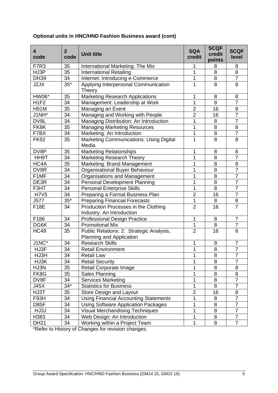| $\overline{\mathbf{4}}$<br>code | $\overline{2}$<br>code | <b>Unit title</b>                                                    | <b>SQA</b><br>credit | <b>SCQF</b><br>credit<br>points | <b>SCQF</b><br>level |
|---------------------------------|------------------------|----------------------------------------------------------------------|----------------------|---------------------------------|----------------------|
| F7R3                            | 35                     | International Marketing: The Mix                                     | 1                    | 8                               | 8                    |
| HJ3P                            | $\overline{35}$        | <b>International Retailing</b>                                       | 1                    | 8                               | $\overline{8}$       |
| <b>DH39</b>                     | $\overline{3}4$        | Internet: Introducing e-Commerce                                     | 1                    | 8                               | $\overline{7}$       |
| J2JX                            | $35*$                  | Applying Interpersonal Communication<br>Theory                       | $\mathbf 1$          | 8                               | $\overline{8}$       |
| HW06*                           | 35                     | <b>Marketing Research Applications</b>                               | 1                    | 8                               | 8                    |
| H <sub>1F2</sub>                | 34                     | Management: Leadership at Work                                       | 1                    | 8                               | $\overline{7}$       |
| <b>H91M</b>                     | 35                     | Managing an Event                                                    | $\overline{2}$       | 16                              | 8                    |
| J1NH*                           | $\overline{34}$        | Managing and Working with People                                     | $\overline{2}$       | 16                              | $\overline{7}$       |
| DV8L                            | 34                     | Managing Distribution: An Introduction                               | 1                    | 8                               | $\overline{7}$       |
| FK8K                            | 35                     | <b>Managing Marketing Resources</b>                                  | 1                    | 8                               | $\overline{8}$       |
| F7BX                            | 34                     | Marketing: An Introduction                                           | 1                    | 8                               | $\overline{7}$       |
| <b>FK92</b>                     | 35                     | <b>Marketing Communications: Using Digital</b><br>Media              | 1                    | 8                               | 8                    |
| DV8P                            | 35                     | <b>Marketing Relationships</b>                                       | 1                    | 8                               | 8                    |
| HH9T                            | 34                     | <b>Marketing Research Theory</b>                                     | $\mathbf 1$          | 8                               | $\overline{7}$       |
| HC4A                            | 35                     | Marketing: Brand Management                                          | 1                    | 8                               | 8                    |
| DV8R                            | 34                     | Organisational Buyer Behaviour                                       | 1                    | 8                               | $\overline{7}$       |
| F1MF                            | $\overline{34}$        | Organisations and Management                                         | 1                    | $\overline{8}$                  | $\overline{7}$       |
| DE3R                            | 34                     | <b>Personal Development Planning</b>                                 | 1                    | 8                               | $\overline{7}$       |
| F3HT                            | 34                     | <b>Personal Enterprise Skills</b>                                    | 1                    | 8                               | $\overline{7}$       |
| <b>H7V5</b>                     | $\overline{34}$        | Preparing a Formal Business Plan                                     | $\overline{2}$       | 16                              | $\overline{7}$       |
| J577                            | $35*$                  | <b>Preparing Financial Forecasts</b>                                 | 1                    | 8                               | 8                    |
| <b>F18E</b>                     | 34                     | Production Processes in the Clothing<br>Industry: An Introduction    | $\overline{2}$       | 16                              | $\overline{7}$       |
| F186                            | 34                     | <b>Professional Design Practice</b>                                  | $\mathbf 1$          | 8                               | $\overline{7}$       |
| DG6K                            | 34                     | <b>Promotional Mix</b>                                               | 1                    | 8                               | $\overline{7}$       |
| <b>HC49</b>                     | 35                     | Public Relations: 2: Strategic Analysis,<br>Planning and Application | $\overline{2}$       | 16                              | $\overline{8}$       |
| $J1NC^*$                        | 34                     | <b>Research Skills</b>                                               | 1                    | 8                               | $\overline{7}$       |
| HJ3F                            | $\overline{34}$        | <b>Retail Environment</b>                                            | $\overline{1}$       | $\overline{8}$                  | $\overline{7}$       |
| HJ3H                            | 34                     | <b>Retail Law</b>                                                    | 1                    | 8                               | <sup>'</sup>         |
| HJ3K                            | 34                     | <b>Retail Security</b>                                               | 1                    | 8                               | $\overline{7}$       |
| HJ3N                            | 35                     | Retail Corporate Image                                               | 1                    | 8                               | 8                    |
| FK8G                            | 35                     | Sales Planning                                                       | 1                    | $\bf 8$                         | $\overline{8}$       |
| DV8F                            | 34                     | <b>Services Marketing</b>                                            | 1                    | $\,8\,$                         | $\overline{7}$       |
| J45X                            | $34*$                  | <b>Statistics for Business</b>                                       | 1                    | 8                               | $\overline{7}$       |
| HJ3T                            | 35                     | Store Design and Layout                                              | $\overline{2}$       | 16                              | 8                    |
| F93H                            | 34                     | <b>Using Financial Accounting Statements</b>                         | 1                    | 8                               | $\overline{7}$       |
| D85F                            | 34                     | <b>Using Software Application Packages</b>                           | 1                    | 8                               | $\overline{7}$       |
| HJ3J                            | 34                     | <b>Visual Merchandising Techniques</b>                               | 1                    | 8                               | $\overline{7}$       |
| H383                            | 34                     | Web Design: An Introduction                                          | 1                    | 8                               | $\overline{7}$       |
| <b>DH21</b>                     | 34                     | Working within a Project Team                                        | 1                    | 8                               | $\overline{7}$       |

#### **Optional units in HNC/HND Fashion Business award (cont)**

\*Refer to History of Changes for revision changes.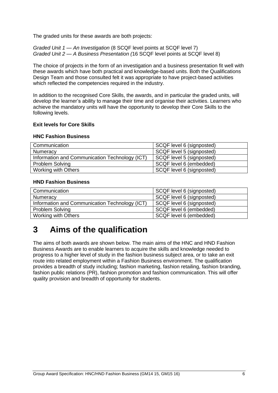The graded units for these awards are both projects:

*Graded Unit 1 — An Investigation* (8 SCQF level points at SCQF level 7) *Graded Unit 2 — A Business Presentation (*16 SCQF level points at SCQF level 8)

The choice of projects in the form of an investigation and a business presentation fit well with these awards which have both practical and knowledge-based units. Both the Qualifications Design Team and those consulted felt it was appropriate to have project-based activities which reflected the competencies required in the industry.

In addition to the recognised Core Skills, the awards, and in particular the graded units, will develop the learner's ability to manage their time and organise their activities. Learners who achieve the mandatory units will have the opportunity to develop their Core Skills to the following levels.

#### **Exit levels for Core Skills**

#### **HNC Fashion Business**

| Communication                                  | SCQF level 6 (signposted) |
|------------------------------------------------|---------------------------|
| Numeracy                                       | SCQF level 5 (signposted) |
| Information and Communication Technology (ICT) | SCQF level 5 (signposted) |
| <b>Problem Solving</b>                         | SCQF level 6 (embedded)   |
| Working with Others                            | SCQF level 6 (signposted) |

#### **HND Fashion Business**

| Communication                                  | SCQF level 6 (signposted) |
|------------------------------------------------|---------------------------|
| Numeracy                                       | SCQF level 6 (signposted) |
| Information and Communication Technology (ICT) | SCQF level 6 (signposted) |
| Problem Solving                                | SCQF level 6 (embedded)   |
| Working with Others                            | SCQF level 6 (embedded)   |

# <span id="page-7-0"></span>**3 Aims of the qualification**

The aims of both awards are shown below. The main aims of the HNC and HND Fashion Business Awards are to enable learners to acquire the skills and knowledge needed to progress to a higher level of study in the fashion business subject area, or to take an exit route into related employment within a Fashion Business environment. The qualification provides a breadth of study including; fashion marketing, fashion retailing, fashion branding, fashion public relations (PR), fashion promotion and fashion communication. This will offer quality provision and breadth of opportunity for students.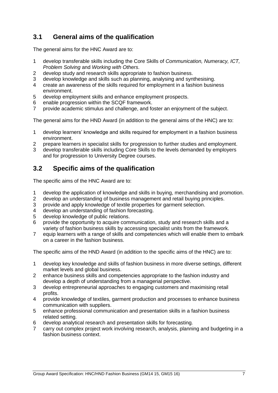## <span id="page-8-0"></span>**3.1 General aims of the qualification**

The general aims for the HNC Award are to:

- 1 develop transferable skills including the Core Skills of *Communication, Numeracy, ICT, Problem Solving* and *Working with Others*.
- 2 develop study and research skills appropriate to fashion business.
- 3 develop knowledge and skills such as planning, analysing and synthesising.
- 4 create an awareness of the skills required for employment in a fashion business environment.
- 5 develop employment skills and enhance employment prospects.
- 6 enable progression within the SCQF framework.
- 7 provide academic stimulus and challenge, and foster an enjoyment of the subject.

The general aims for the HND Award (in addition to the general aims of the HNC) are to:

- 1 develop learners' knowledge and skills required for employment in a fashion business environment.
- 2 prepare learners in specialist skills for progression to further studies and employment.
- 3 develop transferable skills including Core Skills to the levels demanded by employers and for progression to University Degree courses.

### <span id="page-8-1"></span>**3.2 Specific aims of the qualification**

The specific aims of the HNC Award are to:

- 1 develop the application of knowledge and skills in buying, merchandising and promotion.
- 2 develop an understanding of business management and retail buying principles.
- 3 provide and apply knowledge of textile properties for garment selection.
- 4 develop an understanding of fashion forecasting.
- 5 develop knowledge of public relations.
- 6 provide the opportunity to acquire communication, study and research skills and a variety of fashion business skills by accessing specialist units from the framework.
- 7 equip learners with a range of skills and competencies which will enable them to embark on a career in the fashion business.

The specific aims of the HND Award (in addition to the specific aims of the HNC) are to:

- 1 develop key knowledge and skills of fashion business in more diverse settings, different market levels and global business.
- 2 enhance business skills and competencies appropriate to the fashion industry and develop a depth of understanding from a managerial perspective.
- 3 develop entrepreneurial approaches to engaging customers and maximising retail profits.
- 4 provide knowledge of textiles, garment production and processes to enhance business communication with suppliers.
- 5 enhance professional communication and presentation skills in a fashion business related setting.
- 6 develop analytical research and presentation skills for forecasting.
- 7 carry out complex project work involving research, analysis, planning and budgeting in a fashion business context.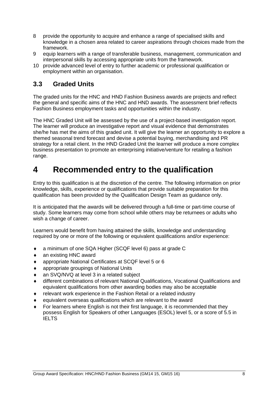- 8 provide the opportunity to acquire and enhance a range of specialised skills and knowledge in a chosen area related to career aspirations through choices made from the framework.
- 9 equip learners with a range of transferable business, management, communication and interpersonal skills by accessing appropriate units from the framework.
- 10 provide advanced level of entry to further academic or professional qualification or employment within an organisation.

### <span id="page-9-0"></span>**3.3 Graded Units**

The graded units for the HNC and HND Fashion Business awards are projects and reflect the general and specific aims of the HNC and HND awards. The assessment brief reflects Fashion Business employment tasks and opportunities within the industry.

The HNC Graded Unit will be assessed by the use of a project-based investigation report. The learner will produce an investigative report and visual evidence that demonstrates she/he has met the aims of this graded unit. It will give the learner an opportunity to explore a themed seasonal trend forecast and devise a potential buying, merchandising and PR strategy for a retail client. In the HND Graded Unit the learner will produce a more complex business presentation to promote an enterprising initiative/venture for retailing a fashion range.

# <span id="page-9-1"></span>**4 Recommended entry to the qualification**

Entry to this qualification is at the discretion of the centre. The following information on prior knowledge, skills, experience or qualifications that provide suitable preparation for this qualification has been provided by the Qualification Design Team as guidance only.

It is anticipated that the awards will be delivered through a full-time or part-time course of study. Some learners may come from school while others may be returnees or adults who wish a change of career.

Learners would benefit from having attained the skills, knowledge and understanding required by one or more of the following or equivalent qualifications and/or experience:

- a minimum of one SQA Higher (SCQF level 6) pass at grade C
- ◆ an existing HNC award
- appropriate National Certificates at SCQF level 5 or 6
- appropriate groupings of National Units
- an SVQ/NVQ at level 3 in a related subject
- different combinations of relevant National Qualifications, Vocational Qualifications and equivalent qualifications from other awarding bodies may also be acceptable
- relevant work experience in the Fashion Retail or a related industry
- equivalent overseas qualifications which are relevant to the award
- For learners where English is not their first language, it is recommended that they possess English for Speakers of other Languages (ESOL) level 5, or a score of 5.5 in **IELTS**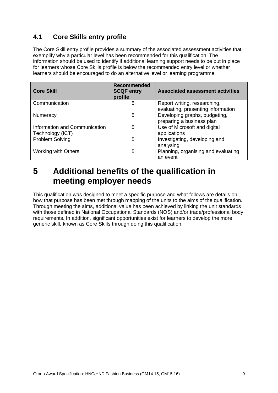## <span id="page-10-0"></span>**4.1 Core Skills entry profile**

The Core Skill entry profile provides a summary of the associated assessment activities that exemplify why a particular level has been recommended for this qualification. The information should be used to identify if additional learning support needs to be put in place for learners whose Core Skills profile is below the recommended entry level or whether learners should be encouraged to do an alternative level or learning programme.

| <b>Core Skill</b>                                 | <b>Recommended</b><br><b>SCQF entry</b><br>profile | <b>Associated assessment activities</b>                            |
|---------------------------------------------------|----------------------------------------------------|--------------------------------------------------------------------|
| Communication                                     | 5                                                  | Report writing, researching,<br>evaluating, presenting information |
| Numeracy                                          | 5                                                  | Developing graphs, budgeting,<br>preparing a business plan         |
| Information and Communication<br>Technology (ICT) | 5                                                  | Use of Microsoft and digital<br>applications                       |
| Problem Solving                                   | 5                                                  | Investigating, developing and<br>analysing                         |
| <b>Working with Others</b>                        | 5                                                  | Planning, organising and evaluating<br>an event                    |

## <span id="page-10-1"></span>**5 Additional benefits of the qualification in meeting employer needs**

This qualification was designed to meet a specific purpose and what follows are details on how that purpose has been met through mapping of the units to the aims of the qualification. Through meeting the aims, additional value has been achieved by linking the unit standards with those defined in National Occupational Standards (NOS) and/or trade/professional body requirements. In addition, significant opportunities exist for learners to develop the more generic skill, known as Core Skills through doing this qualification.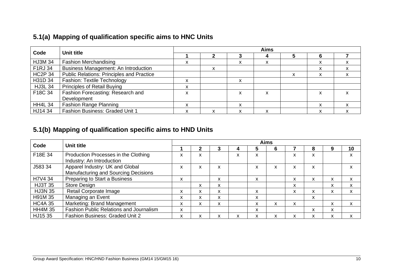| Code           | Unit title                                       | <b>Aims</b> |   |                   |   |   |   |   |  |
|----------------|--------------------------------------------------|-------------|---|-------------------|---|---|---|---|--|
|                |                                                  |             |   |                   |   |   | 6 |   |  |
| <b>HJ3M 34</b> | <b>Fashion Merchandising</b>                     |             |   |                   | Λ |   |   |   |  |
| F1RJ 34        | <b>Business Management: An Introduction</b>      |             | х |                   |   |   | x |   |  |
| <b>HC2P 34</b> | <b>Public Relations: Principles and Practice</b> |             |   |                   |   | X | X | X |  |
| H31D 34        | <b>Fashion: Textile Technology</b>               | ^           |   | $\checkmark$<br>⋏ |   |   |   |   |  |
| <b>HJ3L 34</b> | <b>Principles of Retail Buying</b>               | x           |   |                   |   |   |   |   |  |
| F18C 34        | Fashion Forecasting: Research and                | ᄉ           |   |                   | x |   | X |   |  |
|                | Development                                      |             |   |                   |   |   |   |   |  |
| <b>HH4L 34</b> | <b>Fashion Range Planning</b>                    | ^           |   | ^                 |   |   | x |   |  |
| HJ14 34        | <b>Fashion Business: Graded Unit 1</b>           | ᄉ           | x | $\checkmark$      | x |   | x |   |  |

## **5.1(b) Mapping of qualification specific aims to HND Units**

<span id="page-11-1"></span><span id="page-11-0"></span>

| Code           | Unit title                              | <b>Aims</b> |   |   |  |              |                   |   |   |                           |    |
|----------------|-----------------------------------------|-------------|---|---|--|--------------|-------------------|---|---|---------------------------|----|
|                |                                         |             |   |   |  |              | b                 |   | 8 | 9                         | 10 |
| F18E 34        | Production Processes in the Clothing    | x           | x |   |  | x            |                   | x | x |                           | X  |
|                | Industry: An Introduction               |             |   |   |  |              |                   |   |   |                           |    |
| J583 34        | Apparel Industry: UK and Global         | x           | x | X |  | x            | x                 | X | x |                           | X  |
|                | Manufacturing and Sourcing Decisions    |             |   |   |  |              |                   |   |   |                           |    |
| H7V4 34        | Preparing to Start a Business           | X           |   | X |  | X            |                   | X | x | X                         | X  |
| <b>HJ3T 35</b> | <b>Store Design</b>                     |             | X | X |  |              |                   | X |   | X                         | X  |
| <b>HJ3N 35</b> | Retail Corporate Image                  | x           | X | X |  | X            |                   | X | x | X                         | X  |
| H91M 35        | Managing an Event                       | X           | X | X |  | X            |                   |   | X |                           |    |
| <b>HC4A 35</b> | Marketing: Brand Management             | X           | X | X |  | x            | $\checkmark$<br>⋏ | X |   | X                         | X  |
| <b>HH4M 35</b> | Fashion Public Relations and Journalism | X           |   |   |  | X            |                   |   | x | X                         |    |
| HJ15 35        | <b>Fashion Business: Graded Unit 2</b>  | x           | X | x |  | $\checkmark$ |                   | X | x | $\checkmark$<br>$\lambda$ | X  |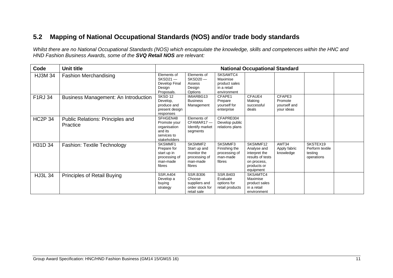## **5.2 Mapping of National Occupational Standards (NOS) and/or trade body standards**

*Whilst there are no National Occupational Standards (NOS) which encapsulate the knowledge, skills and competences within the HNC and HND Fashion Business Awards, some of the SVQ Retail NOS are relevant:*

<span id="page-12-0"></span>

| Code           | <b>Unit title</b><br><b>National Occupational Standard</b> |                                                                                    |                                                                               |                                                                     |                                                                                                         |                                                 |                                                      |  |
|----------------|------------------------------------------------------------|------------------------------------------------------------------------------------|-------------------------------------------------------------------------------|---------------------------------------------------------------------|---------------------------------------------------------------------------------------------------------|-------------------------------------------------|------------------------------------------------------|--|
| <b>HJ3M 34</b> | <b>Fashion Merchandising</b>                               | Elements of<br>$SKSD21 -$<br>Develop Final<br>Design<br>Proposals.                 | Elements of<br>$SKSD20 -$<br>Assess<br>Design<br>Options                      | SKSAMTC4<br>Maximise<br>product sales<br>in a retail<br>environment |                                                                                                         |                                                 |                                                      |  |
| F1RJ 34        | <b>Business Management: An Introduction</b>                | SKSD <sub>12</sub><br>Develop.<br>produce and<br>present design<br>responses       | IMIARBG13<br><b>Business</b><br>Management                                    | CFAPE1<br>Prepare<br>yourself for<br>enterprise                     | CFAUE4<br>Making<br>successful<br>deals                                                                 | CFAPE3<br>Promote<br>yourself and<br>your ideas |                                                      |  |
| <b>HC2P 34</b> | Public Relations: Principles and<br>Practice               | SFHGEN48<br>Promote your<br>organisation<br>and its<br>services to<br>stakeholders | Elements of<br>CFAMAR17-<br>Identify market<br>segments                       | CFAPRE004<br>Develop public<br>relations plans                      |                                                                                                         |                                                 |                                                      |  |
| H31D 34        | <b>Fashion: Textile Technology</b>                         | SKSMMF1<br>Prepare for<br>start up in<br>processing of<br>man-made<br>fibres       | SKSMMF2<br>Start up and<br>monitor the<br>processing of<br>man-made<br>fibres | SKSMMF3<br>Finishing the<br>processing of<br>man-made<br>fibres     | SKSMMF12<br>Analyse and<br>interpret the<br>results of tests<br>on process,<br>products or<br>equipment | AMT34<br>Apply fabric<br>knowledge              | SKSTEX19<br>Perform textile<br>testing<br>operations |  |
| <b>HJ3L 34</b> | <b>Principles of Retail Buying</b>                         | <b>SSR.A404</b><br>Develop a<br>buying<br>strategy                                 | <b>SSR.B306</b><br>Choose<br>suppliers and<br>order stock for<br>retail sale  | <b>SSR.B403</b><br>Evaluate<br>options for<br>retail products       | SKSAMTC4<br>Maximise<br>product sales<br>in a retail<br>environment                                     |                                                 |                                                      |  |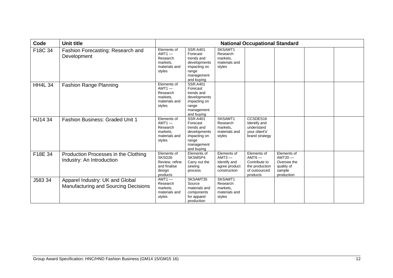| Code           | Unit title                                                              |                                                                               |                                                                                                                |                                                                          | <b>National Occupational Standard</b>                                                   |                                                                               |  |
|----------------|-------------------------------------------------------------------------|-------------------------------------------------------------------------------|----------------------------------------------------------------------------------------------------------------|--------------------------------------------------------------------------|-----------------------------------------------------------------------------------------|-------------------------------------------------------------------------------|--|
| F18C 34        | Fashion Forecasting: Research and<br>Development                        | Elements of<br>$AMT1 -$<br>Research<br>markets.<br>materials and<br>styles    | <b>SSR.A401</b><br>Forecast<br>trends and<br>developments<br>impacting on<br>range<br>management<br>and buying | SKSAMT1<br>Research<br>markets.<br>materials and<br>styles               |                                                                                         |                                                                               |  |
| <b>HH4L 34</b> | <b>Fashion Range Planning</b>                                           | Elements of<br>$AMT1 -$<br>Research<br>markets,<br>materials and<br>styles    | <b>SSR.A401</b><br>Forecast<br>trends and<br>developments<br>impacting on<br>range<br>management<br>and buying |                                                                          |                                                                                         |                                                                               |  |
| HJ14 34        | <b>Fashion Business: Graded Unit 1</b>                                  | Elements of<br>$AMT1 -$<br>Research<br>markets.<br>materials and<br>styles    | <b>SSR.A401</b><br>Forecast<br>trends and<br>developments<br>impacting on<br>range<br>management<br>and buying | SKSAMT1<br>Research<br>markets.<br>materials and<br>styles               | CCSDES <sub>16</sub><br>Identify and<br>understand<br>your client's'<br>brand strategy  |                                                                               |  |
| F18E 34        | Production Processes in the Clothing<br>Industry: An Introduction       | Elements of<br>SKSD26<br>Review, refine<br>and finalise<br>design<br>products | Elements of<br>SKSMSP4<br>Carry out the<br>sewing<br>process                                                   | Elements of<br>$AMT3 -$<br>Identify and<br>agree product<br>construction | Elements of<br>$AMT6 -$<br>Contribute to<br>the production<br>of outsourced<br>products | Elements of<br>$AMT20 -$<br>Oversee the<br>quality of<br>sample<br>production |  |
| J583 34        | Apparel Industry: UK and Global<br>Manufacturing and Sourcing Decisions | $AMT1 -$<br>Research<br>markets.<br>materials and<br>styles                   | SKSAMT35<br>Source<br>materials and<br>components<br>for apparel<br>production                                 | SKSAMT1<br>Research<br>markets.<br>materials and<br>styles               |                                                                                         |                                                                               |  |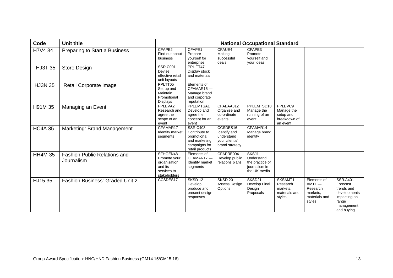| Code           | <b>Unit title</b>                                 |                                                                                    |                                                                                                      |                                                                            | <b>National Occupational Standard</b>                                   |                                                                |                                                                            |                                                                                                                |
|----------------|---------------------------------------------------|------------------------------------------------------------------------------------|------------------------------------------------------------------------------------------------------|----------------------------------------------------------------------------|-------------------------------------------------------------------------|----------------------------------------------------------------|----------------------------------------------------------------------------|----------------------------------------------------------------------------------------------------------------|
| H7V4 34        | Preparing to Start a Business                     | CFAPE2<br>Find out about<br>business                                               | CFAPE1<br>Prepare<br>yourself for<br>enterprise                                                      | CFAUE4<br>Making<br>successful<br>deals                                    | CFAPE3<br>Promote<br>vourself and<br>your ideas                         |                                                                |                                                                            |                                                                                                                |
| <b>HJ3T 35</b> | <b>Store Design</b>                               | <b>SSR.C001</b><br>Devise<br>effective retail<br>unit layouts                      | PPL TT47<br>Display stock<br>and materials                                                           |                                                                            |                                                                         |                                                                |                                                                            |                                                                                                                |
| <b>HJ3N 35</b> | Retail Corporate Image                            | PPLTT05<br>Set up and<br>Maintain<br>Promotional<br><b>Displays</b>                | Elements of<br>CFAMAR15-<br>Manage brand<br>and corporate<br>reputation                              |                                                                            |                                                                         |                                                                |                                                                            |                                                                                                                |
| H91M 35        | Managing an Event                                 | PPLEVA2<br>Research and<br>agree the<br>scope of an<br>event                       | PPLEMTSA1<br>Develop and<br>agree the<br>concept for an<br>event                                     | CFABAA312<br>Organise and<br>co-ordinate<br>events                         | PPLEMTSD10<br>Manage the<br>running of an<br>event                      | PPLEVC9<br>Manage the<br>setup and<br>breakdown of<br>an event |                                                                            |                                                                                                                |
| <b>HC4A 35</b> | Marketing: Brand Management                       | CFAMAR17<br>Identify market<br>segments                                            | <b>SSR.C403</b><br>Contribute to<br>promotional<br>and marketing<br>campaigns for<br>retail products | CCSDES16<br>Identify and<br>understand<br>your client's'<br>brand strategy | CFAMAR14<br>Manage brand<br>identity                                    |                                                                |                                                                            |                                                                                                                |
| <b>HH4M 35</b> | <b>Fashion Public Relations and</b><br>Journalism | SFHGEN48<br>Promote your<br>organisation<br>and its<br>services to<br>stakeholders | Elements of<br>CFAMAR17-<br>Identify market<br>segments                                              | CFAPRE004<br>Develop public<br>relations plans                             | SKSJ1<br>Understand<br>the practice of<br>journalism in<br>the UK media |                                                                |                                                                            |                                                                                                                |
| HJ15 35        | <b>Fashion Business: Graded Unit 2</b>            | CCSDES17                                                                           | SKSD <sub>12</sub><br>Develop,<br>produce and<br>present design<br>responses                         | SKSD <sub>20</sub><br>Assess Design<br>Options                             | SKSD21<br>Develop Final<br>Design<br>Proposals                          | SKSAMT1<br>Research<br>markets.<br>materials and<br>styles     | Elements of<br>$AMT1 -$<br>Research<br>markets.<br>materials and<br>styles | <b>SSR.A401</b><br>Forecast<br>trends and<br>developments<br>impacting on<br>range<br>management<br>and buying |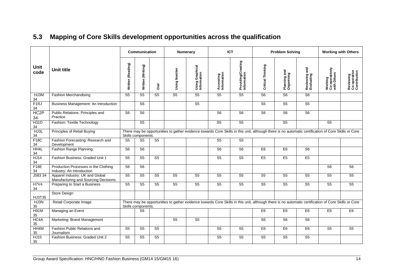<span id="page-15-0"></span>

|                         |                                                                         |                        | Communication                                                                                                                                                             |                | <b>Numeracy</b>        |                                                                                                                                                     | <b>ICT</b>               |                                   | <b>Problem Solving</b>              |                                     |                             | <b>Working with Others</b>               |                                           |
|-------------------------|-------------------------------------------------------------------------|------------------------|---------------------------------------------------------------------------------------------------------------------------------------------------------------------------|----------------|------------------------|-----------------------------------------------------------------------------------------------------------------------------------------------------|--------------------------|-----------------------------------|-------------------------------------|-------------------------------------|-----------------------------|------------------------------------------|-------------------------------------------|
| Unit<br>code            | <b>Unit title</b>                                                       | Written (Reading)      | Written (Writing)                                                                                                                                                         | <b>Oral</b>    | Using Number           | Using Graphical<br>Information                                                                                                                      | Accessing<br>Information | Providing/Creating<br>Information | Critical Thinking                   | Planning and<br>Organising          | Reviewing and<br>Evaluating | Working<br>Co-operatively<br>with Others | Reviewing<br>Co-operative<br>Contribution |
| HJ3M<br>34              | <b>Fashion Merchandising</b>                                            | $\overline{\text{S5}}$ | S <sub>5</sub>                                                                                                                                                            | S <sub>5</sub> | S <sub>5</sub>         | $\overline{\text{S5}}$                                                                                                                              | S <sub>5</sub>           | $\overline{\text{S5}}$            | S6                                  | $\overline{\overline{\mathsf{S6}}}$ | $\overline{\sqrt{56}}$      |                                          |                                           |
| F <sub>1</sub> RJ<br>34 | Business Management: An Introduction                                    |                        | S <sub>6</sub>                                                                                                                                                            |                |                        | $\overline{\text{S5}}$                                                                                                                              |                          |                                   | $\overline{\text{S5}}$              | $\overline{\text{S5}}$              | $\overline{\text{S5}}$      |                                          |                                           |
| HC <sub>2</sub> P<br>34 | Public Relations: Principles and<br>Practice                            | S <sub>6</sub>         | S <sub>6</sub>                                                                                                                                                            |                |                        |                                                                                                                                                     | $\overline{\text{S6}}$   | S <sub>6</sub>                    | $\overline{\overline{\mathsf{S6}}}$ | S <sub>6</sub>                      | $\overline{\sqrt{56}}$      |                                          |                                           |
| <b>H31D</b><br>34       | Fashion: Textile Technology                                             |                        | $\overline{\text{S5}}$                                                                                                                                                    |                |                        |                                                                                                                                                     | S <sub>5</sub>           | $\overline{\text{S5}}$            |                                     | $\overline{\text{S5}}$              |                             | $\overline{\text{S5}}$                   |                                           |
| HJ3L<br>34              | Principles of Retail Buying                                             |                        | There may be opportunities to gather evidence towards Core Skills in this unit, although there is no automatic certification of Core Skills or Core<br>Skills components. |                |                        |                                                                                                                                                     |                          |                                   |                                     |                                     |                             |                                          |                                           |
| F18C<br>34              | Fashion Forecasting: Research and<br>Development                        | S <sub>5</sub>         | S <sub>5</sub>                                                                                                                                                            | S <sub>5</sub> |                        |                                                                                                                                                     | S <sub>5</sub>           | S <sub>5</sub>                    |                                     |                                     |                             |                                          |                                           |
| HH4L<br>34              | <b>Fashion Range Planning</b>                                           | S <sub>6</sub>         | S <sub>6</sub>                                                                                                                                                            |                |                        |                                                                                                                                                     | $\overline{\text{S6}}$   | S6                                | E6                                  | E <sub>6</sub>                      | $\overline{\sqrt{56}}$      |                                          |                                           |
| HJ14<br>34              | Fashion Business: Graded Unit 1                                         | S <sub>5</sub>         | S <sub>5</sub>                                                                                                                                                            | S <sub>5</sub> |                        |                                                                                                                                                     | S <sub>5</sub>           | S <sub>5</sub>                    | E <sub>5</sub>                      | E <sub>5</sub>                      | E <sub>5</sub>              |                                          |                                           |
| F18E<br>34              | Production Processes in the Clothing<br>Industry: An Introduction       | S <sub>6</sub>         | S <sub>6</sub>                                                                                                                                                            |                |                        |                                                                                                                                                     |                          |                                   |                                     |                                     |                             | $\overline{\mathsf{S6}}$                 | $\overline{\mathsf{S6}}$                  |
| J583 34                 | Apparel Industry: UK and Global<br>Manufacturing and Sourcing Decisions | S <sub>5</sub>         | S <sub>5</sub>                                                                                                                                                            | S <sub>5</sub> | S <sub>5</sub>         | S <sub>5</sub>                                                                                                                                      | S <sub>5</sub>           | S <sub>5</sub>                    | $\overline{\text{S5}}$              | $\overline{\text{S5}}$              | $\overline{\text{S5}}$      | S <sub>5</sub>                           | $\overline{\text{S5}}$                    |
| <b>H7V4</b><br>34       | Preparing to Start a Business                                           | S <sub>5</sub>         | S <sub>5</sub>                                                                                                                                                            | S <sub>5</sub> | $\overline{\text{S5}}$ | $\overline{\text{S5}}$                                                                                                                              | $\overline{\text{S5}}$   | $\overline{\text{S5}}$            | $\overline{\text{S5}}$              | $\overline{\text{S5}}$              | $\overline{\text{S5}}$      | $\overline{\text{S5}}$                   | $\overline{\text{S5}}$                    |
| HJ3T35                  | Store Design                                                            |                        |                                                                                                                                                                           |                |                        |                                                                                                                                                     |                          |                                   |                                     |                                     |                             |                                          |                                           |
| HJ3N<br>35              | Retail Corporate Image                                                  |                        | Skills components.                                                                                                                                                        |                |                        | There may be opportunities to gather evidence towards Core Skills in this unit, although there is no automatic certification of Core Skills or Core |                          |                                   |                                     |                                     |                             |                                          |                                           |
| <b>H91M</b><br>35       | Managing an Event                                                       |                        | S <sub>6</sub>                                                                                                                                                            |                |                        |                                                                                                                                                     |                          |                                   | E <sub>6</sub>                      | E <sub>6</sub>                      | E <sub>6</sub>              | E <sub>6</sub>                           | E <sub>6</sub>                            |
| HC4A<br>35              | Marketing: Brand Management                                             |                        |                                                                                                                                                                           |                | S <sub>5</sub>         | S <sub>5</sub>                                                                                                                                      |                          |                                   | S <sub>6</sub>                      | S <sub>6</sub>                      | S <sub>6</sub>              |                                          |                                           |
| HH4M<br>35              | Fashion Public Relations and<br>Journalism                              | S <sub>5</sub>         | S <sub>5</sub>                                                                                                                                                            | S <sub>5</sub> |                        |                                                                                                                                                     | $\overline{\text{S5}}$   | S <sub>5</sub>                    | E <sub>6</sub>                      | E <sub>6</sub>                      | E <sub>6</sub>              | $\overline{\text{S5}}$                   | S <sub>5</sub>                            |
| <b>HJ15</b><br>35       | Fashion Business: Graded Unit 2                                         | S <sub>5</sub>         | S <sub>5</sub>                                                                                                                                                            | S <sub>5</sub> |                        |                                                                                                                                                     | S <sub>5</sub>           | S <sub>5</sub>                    | S <sub>5</sub>                      | S <sub>5</sub>                      | S <sub>5</sub>              |                                          |                                           |

## **5.3 Mapping of Core Skills development opportunities across the qualification**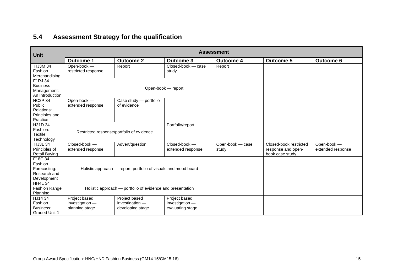## **5.4 Assessment Strategy for the qualification**

<span id="page-16-0"></span>

| <b>Unit</b>                | <b>Assessment</b>   |                                                                 |                    |                  |                        |                   |  |  |  |
|----------------------------|---------------------|-----------------------------------------------------------------|--------------------|------------------|------------------------|-------------------|--|--|--|
|                            | <b>Outcome 1</b>    | <b>Outcome 2</b>                                                | <b>Outcome 3</b>   | <b>Outcome 4</b> | <b>Outcome 5</b>       | <b>Outcome 6</b>  |  |  |  |
| <b>HJ3M 34</b>             | Open-book -         | Report                                                          | Closed-book - case | Report           |                        |                   |  |  |  |
| Fashion                    | restricted response |                                                                 | study              |                  |                        |                   |  |  |  |
| Merchandising              |                     |                                                                 |                    |                  |                        |                   |  |  |  |
| F1RJ 34                    |                     |                                                                 |                    |                  |                        |                   |  |  |  |
| <b>Business</b>            |                     |                                                                 | Open-book - report |                  |                        |                   |  |  |  |
| Management:                |                     |                                                                 |                    |                  |                        |                   |  |  |  |
| An Introduction            |                     |                                                                 |                    |                  |                        |                   |  |  |  |
| <b>HC2P 34</b>             | Open-book -         | Case study - portfolio                                          |                    |                  |                        |                   |  |  |  |
| Public                     | extended response   | of evidence                                                     |                    |                  |                        |                   |  |  |  |
| Relations:                 |                     |                                                                 |                    |                  |                        |                   |  |  |  |
| Principles and<br>Practice |                     |                                                                 |                    |                  |                        |                   |  |  |  |
| H31D 34                    |                     |                                                                 | Portfolio/report   |                  |                        |                   |  |  |  |
| Fashion:                   |                     |                                                                 |                    |                  |                        |                   |  |  |  |
| <b>Textile</b>             |                     | Restricted response/portfolio of evidence                       |                    |                  |                        |                   |  |  |  |
| Technology                 |                     |                                                                 |                    |                  |                        |                   |  |  |  |
| HJ3L 34                    | Closed-book -       | Advert/question                                                 | Closed-book -      | Open-book - case | Closed-book restricted | Open-book -       |  |  |  |
| Principles of              | extended response   |                                                                 | extended response  | study            | response and open-     | extended response |  |  |  |
| <b>Retail Buying</b>       |                     |                                                                 |                    |                  | book case study        |                   |  |  |  |
| F18C 34                    |                     |                                                                 |                    |                  |                        |                   |  |  |  |
| Fashion                    |                     |                                                                 |                    |                  |                        |                   |  |  |  |
| Forecasting:               |                     | Holistic approach — report, portfolio of visuals and mood board |                    |                  |                        |                   |  |  |  |
| Research and               |                     |                                                                 |                    |                  |                        |                   |  |  |  |
| Development                |                     |                                                                 |                    |                  |                        |                   |  |  |  |
| <b>HH4L 34</b>             |                     |                                                                 |                    |                  |                        |                   |  |  |  |
| Fashion Range              |                     | Holistic approach — portfolio of evidence and presentation      |                    |                  |                        |                   |  |  |  |
| Planning                   |                     |                                                                 |                    |                  |                        |                   |  |  |  |
| HJ14 34                    | Project based       | Project based                                                   | Project based      |                  |                        |                   |  |  |  |
| Fashion                    | investigation -     | investigation -                                                 | investigation -    |                  |                        |                   |  |  |  |
| Business:                  | planning stage      | developing stage                                                | evaluating stage   |                  |                        |                   |  |  |  |
| <b>Graded Unit 1</b>       |                     |                                                                 |                    |                  |                        |                   |  |  |  |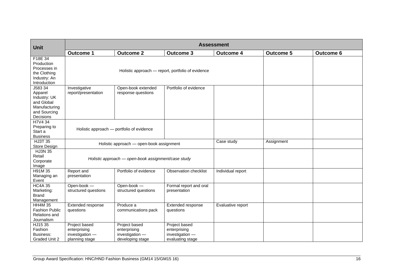| <b>Unit</b>                                                                                    | <b>Assessment</b>                                                  |                                                                      |                                                                      |                   |                  |                  |  |  |  |
|------------------------------------------------------------------------------------------------|--------------------------------------------------------------------|----------------------------------------------------------------------|----------------------------------------------------------------------|-------------------|------------------|------------------|--|--|--|
|                                                                                                | <b>Outcome 1</b>                                                   | <b>Outcome 2</b>                                                     | <b>Outcome 3</b>                                                     | <b>Outcome 4</b>  | <b>Outcome 5</b> | <b>Outcome 6</b> |  |  |  |
| F18E 34<br>Production<br>Processes in<br>the Clothing<br>Industry: An<br>Introduction          |                                                                    |                                                                      | Holistic approach - report, portfolio of evidence                    |                   |                  |                  |  |  |  |
| J583 34<br>Apparel<br>Industry: UK<br>and Global<br>Manufacturing<br>and Sourcing<br>Decisions | Investigative<br>report/presentation                               | Open-book extended<br>response questions                             | Portfolio of evidence                                                |                   |                  |                  |  |  |  |
| H7V4 34<br>Preparing to<br>Start a<br><b>Business</b>                                          | Holistic approach - portfolio of evidence                          |                                                                      |                                                                      |                   |                  |                  |  |  |  |
| <b>HJ3T 35</b><br>Store Design                                                                 | Holistic approach - open-book assignment                           |                                                                      |                                                                      | Case study        | Assignment       |                  |  |  |  |
| <b>HJ3N 35</b><br>Retail<br>Corporate<br>Image                                                 | Holistic approach - open-book assignment/case study                |                                                                      |                                                                      |                   |                  |                  |  |  |  |
| H91M 35<br>Managing an<br>Event                                                                | Report and<br>presentation                                         | Portfolio of evidence                                                | Observation checklist                                                | Individual report |                  |                  |  |  |  |
| <b>HC4A 35</b><br>Marketing:<br><b>Brand</b><br>Management                                     | Open-book -<br>structured questions                                | Open-book -<br>structured questions                                  | Formal report and oral<br>presentation                               |                   |                  |                  |  |  |  |
| <b>HH4M 35</b><br><b>Fashion Public</b><br>Relations and<br>Journalism                         | Extended response<br>questions                                     | Produce a<br>communications pack                                     | Extended response<br>questions                                       | Evaluative report |                  |                  |  |  |  |
| HJ15 35<br>Fashion<br>Business:<br>Graded Unit 2                                               | Project based<br>enterprising<br>investigation -<br>planning stage | Project based<br>enterprising<br>investigation -<br>developing stage | Project based<br>enterprising<br>investigation -<br>evaluating stage |                   |                  |                  |  |  |  |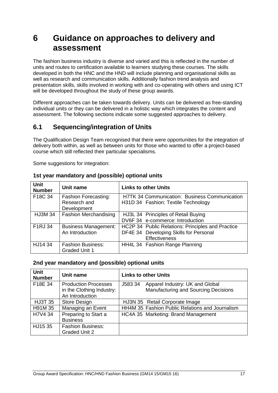# <span id="page-18-0"></span>**6 Guidance on approaches to delivery and assessment**

The fashion business industry is diverse and varied and this is reflected in the number of units and routes to certification available to learners studying these courses. The skills developed in both the HNC and the HND will include planning and organisational skills as well as research and communication skills. Additionally fashion trend analysis and presentation skills, skills involved in working with and co-operating with others and using ICT will be developed throughout the study of these group awards.

Different approaches can be taken towards delivery. Units can be delivered as free-standing individual units or they can be delivered in a holistic way which integrates the content and assessment. The following sections indicate some suggested approaches to delivery.

### <span id="page-18-1"></span>**6.1 Sequencing/integration of Units**

The Qualification Design Team recognised that there were opportunities for the integration of delivery both within, as well as between units for those who wanted to offer a project-based course which still reflected their particular specialisms.

Some suggestions for integration:

| <b>Unit</b><br><b>Number</b> | Unit name                                                  | <b>Links to other Units</b>                                                                                         |
|------------------------------|------------------------------------------------------------|---------------------------------------------------------------------------------------------------------------------|
| F18C 34                      | <b>Fashion Forecasting:</b><br>Research and<br>Development | <b>H7TK 34 Communication: Business Communication</b><br>H31D 34 Fashion: Textile Technology                         |
| <b>HJ3M 34</b>               | <b>Fashion Merchandising</b>                               | HJ3L 34 Principles of Retail Buying<br>DV6F 34 e-commerce: Introduction                                             |
| F1RJ 34                      | <b>Business Management:</b><br>An Introduction             | HC2P 34 Public Relations: Principles and Practice<br>DF4E 34 Developing Skills for Personal<br><b>Effectiveness</b> |
| HJ14 34                      | <b>Fashion Business:</b><br><b>Graded Unit 1</b>           | HH4L 34 Fashion Range Planning                                                                                      |

#### **1st year mandatory and (possible) optional units**

#### **2nd year mandatory and (possible) optional units**

| <b>Unit</b><br><b>Number</b> | Unit name                                                                   | <b>Links to other Units</b>                                                        |
|------------------------------|-----------------------------------------------------------------------------|------------------------------------------------------------------------------------|
| F18E 34                      | <b>Production Processes</b><br>in the Clothing Industry:<br>An Introduction | J583 34<br>Apparel Industry: UK and Global<br>Manufacturing and Sourcing Decisions |
| <b>HJ3T 35</b>               | <b>Store Design</b>                                                         | HJ3N 35 Retail Corporate Image                                                     |
| H91M 35                      | Managing an Event                                                           | HH4M 35 Fashion Public Relations and Journalism                                    |
| H7V4 34                      | Preparing to Start a<br><b>Business</b>                                     | HC4A 35 Marketing: Brand Management                                                |
| HJ15 35                      | <b>Fashion Business:</b><br><b>Graded Unit 2</b>                            |                                                                                    |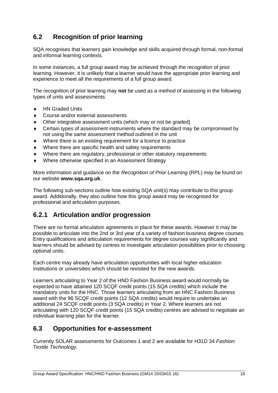## <span id="page-19-0"></span>**6.2 Recognition of prior learning**

SQA recognises that learners gain knowledge and skills acquired through formal, non-formal and informal learning contexts.

In some instances, a full group award may be achieved through the recognition of prior learning. However, it is unlikely that a learner would have the appropriate prior learning and experience to meet all the requirements of a full group award.

The recognition of prior learning may **not** be used as a method of assessing in the following types of units and assessments:

- ◆ HN Graded Units
- Course and/or external assessments
- Other integrative assessment units (which may or not be graded)
- Certain types of assessment instruments where the standard may be compromised by not using the same assessment method outlined in the unit
- Where there is an existing requirement for a licence to practice
- Where there are specific health and safety requirements
- Where there are regulatory, professional or other statutory requirements
- Where otherwise specified in an Assessment Strategy

More information and guidance on the *Recognition of Prior Learning* (RPL) may be found on our website **[www.sqa.org.uk](http://www.sqa.org.uk/)**.

The following sub-sections outline how existing SQA unit(s) may contribute to this group award. Additionally, they also outline how this group award may be recognised for professional and articulation purposes.

### **6.2.1 Articulation and/or progression**

There are no formal articulation agreements in place for these awards. However it may be possible to articulate into the 2nd or 3rd year of a variety of fashion business degree courses. Entry qualifications and articulation requirements for degree courses vary significantly and learners should be advised by centres to investigate articulation possibilities prior to choosing optional units.

Each centre may already have articulation opportunities with local higher education institutions or universities which should be revisited for the new awards.

Learners articulating to Year 2 of the HND Fashion Business award would normally be expected to have attained 120 SCQF credit points (15 SQA credits) which include the mandatory units for the HNC. Those learners articulating from an HNC Fashion Business award with the 96 SCQF credit points (12 SQA credits) would require to undertake an additional 24 SCQF credit points (3 SQA credits) in Year 2. Where learners are not articulating with 120 SCQF credit points (15 SQA credits) centres are advised to negotiate an individual learning plan for the learner.

#### <span id="page-19-1"></span>**6.3 Opportunities for e-assessment**

Currently SOLAR assessments for Outcomes 1 and 2 are available for H31D 34 *Fashion: Textile Technology*.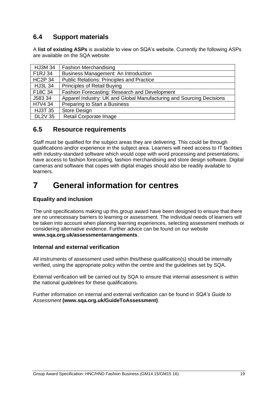### <span id="page-20-0"></span>**6.4 Support materials**

A **[list of existing ASPs](http://www.sqa.org.uk/sqa/46233.2769.html)** is available to view on SQA's website. Currently the following ASPs are available on the SQA website:

| <b>HJ3M 34</b> | <b>Fashion Merchandising</b>                                         |
|----------------|----------------------------------------------------------------------|
| F1RJ 34        | <b>Business Management: An Introduction</b>                          |
| <b>HC2P 34</b> | <b>Public Relations: Principles and Practice</b>                     |
| <b>HJ3L 34</b> | <b>Principles of Retail Buying</b>                                   |
| F18C 34        | Fashion Forecasting: Research and Development                        |
| J583 34        | Apparel Industry: UK and Global Manufacturing and Sourcing Decisions |
| H7V4 34        | Preparing to Start a Business                                        |
| <b>HJ3T 35</b> | <b>Store Design</b>                                                  |
| <b>DL2V 35</b> | Retail Corporate Image                                               |

#### <span id="page-20-1"></span>**6.5 Resource requirements**

Staff must be qualified for the subject areas they are delivering. This could be through qualifications and/or experience in the subject area. Learners will need access to IT facilities with industry-standard software which would cope with word processing and presentations; have access to fashion forecasting, fashion merchandising and store design software. Digital cameras and software that copes with digital images should also be readily available to learners.

# <span id="page-20-2"></span>**7 General information for centres**

#### **Equality and inclusion**

The unit specifications making up this group award have been designed to ensure that there are no unnecessary barriers to learning or assessment. The individual needs of learners will be taken into account when planning learning experiences, selecting assessment methods or considering alternative evidence. Further advice can be found on our website **[www.sqa.org.uk/assessmentarrangements](http://www.sqa.org.uk/sqa/14977.html)**.

#### **Internal and external verification**

All instruments of assessment used within this/these qualification(s) should be internally verified, using the appropriate policy within the centre and the guidelines set by SQA.

External verification will be carried out by SQA to ensure that internal assessment is within the national guidelines for these qualifications.

Further information on internal and external verification can be found in *SQA's Guide to Assessment* **[\(www.sqa.org.uk/GuideToAssessment\)](http://www.sqa.org.uk/sqa/files_ccc/GuideToAssessment.pdf)**.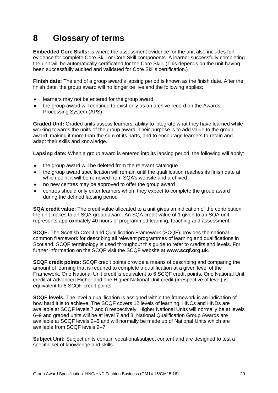# <span id="page-21-0"></span>**8 Glossary of terms**

**Embedded Core Skills:** is where the assessment evidence for the unit also includes full evidence for complete Core Skill or Core Skill components. A learner successfully completing the unit will be automatically certificated for the Core Skill. (This depends on the unit having been successfully audited and validated for Core Skills certification.)

**Finish date:** The end of a group award's lapsing period is known as the finish date. After the finish date, the group award will no longer be live and the following applies:

- learners may not be entered for the group award
- the group award will continue to exist only as an archive record on the Awards Processing System (APS)

**Graded Unit:** Graded units assess learners' ability to integrate what they have learned while working towards the units of the group award. Their purpose is to add value to the group award, making it more than the sum of its parts, and to encourage learners to retain and adapt their skills and knowledge.

**Lapsing date:** When a group award is entered into its lapsing period, the following will apply:

- the group award will be deleted from the relevant catalogue
- the group award specification will remain until the qualification reaches its finish date at which point it will be removed from SQA's website and archived
- no new centres may be approved to offer the group award
- centres should only enter learners whom they expect to complete the group award during the defined lapsing period

**SQA credit value:** The credit value allocated to a unit gives an indication of the contribution the unit makes to an SQA group award. An SQA credit value of 1 given to an SQA unit represents approximately 40 hours of programmed learning, teaching and assessment.

**SCQF:** The Scottish Credit and Qualification Framework (SCQF) provides the national common framework for describing all relevant programmes of learning and qualifications in Scotland. SCQF terminology is used throughout this guide to refer to credits and levels. For further information on the SCQF visit the SCQF website at **[www.scqf.org.uk](http://www.scqf.org.uk/)**.

**SCQF credit points:** SCQF credit points provide a means of describing and comparing the amount of learning that is required to complete a qualification at a given level of the Framework. One National Unit credit is equivalent to 6 SCQF credit points. One National Unit credit at Advanced Higher and one Higher National Unit credit (irrespective of level) is equivalent to 8 SCQF credit points.

**SCQF levels:** The level a qualification is assigned within the framework is an indication of how hard it is to achieve. The SCQF covers 12 levels of learning. HNCs and HNDs are available at SCQF levels 7 and 8 respectively. Higher National Units will normally be at levels 6–9 and graded units will be at level 7 and 8. National Qualification Group Awards are available at SCQF levels 2–6 and will normally be made up of National Units which are available from SCQF levels 2–7.

**Subject Unit:** Subject units contain vocational/subject content and are designed to test a specific set of knowledge and skills.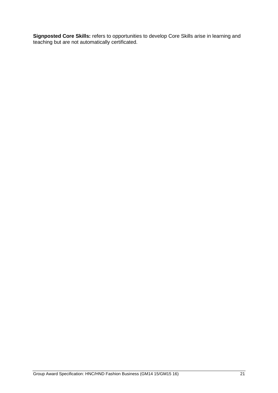**Signposted Core Skills:** refers to opportunities to develop Core Skills arise in learning and teaching but are not automatically certificated.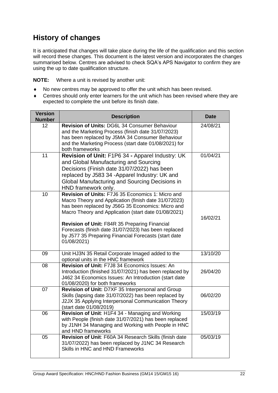## **History of changes**

It is anticipated that changes will take place during the life of the qualification and this section will record these changes. This document is the latest version and incorporates the changes summarised below. Centres are advised to check SQA's APS Navigator to confirm they are using the up to date qualification structure.

**NOTE:** Where a unit is revised by another unit:

- No new centres may be approved to offer the unit which has been revised.
- Centres should only enter learners for the unit which has been revised where they are expected to complete the unit before its finish date.

| <b>Version</b><br><b>Number</b> | <b>Description</b>                                                                                                                                                                                                                                                                                                                                                                                     | <b>Date</b> |
|---------------------------------|--------------------------------------------------------------------------------------------------------------------------------------------------------------------------------------------------------------------------------------------------------------------------------------------------------------------------------------------------------------------------------------------------------|-------------|
| 12                              | Revision of Units: DG6L 34 Consumer Behaviour<br>and the Marketing Process (finish date 31/07/2023)<br>has been replaced by J5MA 34 Consumer Behaviour<br>and the Marketing Process (start date 01/08/2021) for<br>both frameworks                                                                                                                                                                     | 24/08/21    |
| 11                              | Revision of Unit: F1P6 34 - Apparel Industry: UK<br>and Global Manufacturing and Sourcing<br>Decisions (Finish date 31/07/2022) has been<br>replaced by J583 34 -Apparel Industry: UK and<br>Global Manufacturing and Sourcing Decisions in<br>HND framework only.                                                                                                                                     | 01/04/21    |
| 10                              | Revision of Units: F7J6 35 Economics 1: Micro and<br>Macro Theory and Application (finish date 31/072023)<br>has been replaced by J56G 35 Economics: Micro and<br>Macro Theory and Application (start date 01/08/2021)<br>Revision of Unit: F84R 35 Preparing Financial<br>Forecasts (finish date 31/07/2023) has been replaced<br>by J577 35 Preparing Financial Forecasts (start date<br>01/08/2021) | 16/02/21    |
| 09                              | Unit HJ3N 35 Retail Corporate Imaged added to the<br>optional units in the HNC framework                                                                                                                                                                                                                                                                                                               | 13/10/20    |
| 08                              | Revision of Unit: F7J8 34 Economics Issues: An<br>Introduction (finished 31/07/2021) has been replaced by<br>J462 34 Economics Issues: An Introduction (start date<br>01/08/2020) for both frameworks                                                                                                                                                                                                  | 26/04/20    |
| 07                              | Revision of Unit: D7XF 35 Interpersonal and Group<br>Skills (lapsing date 31/07/2022) has been replaced by<br>J2JX 35 Applying Interpersonal Communication Theory<br>(start date 01/08/2019)                                                                                                                                                                                                           | 06/02/20    |
| 06                              | Revision of Unit: H1F4 34 - Managing and Working<br>with People (finish date 31/07/2021) has been replaced<br>by J1NH 34 Managing and Working with People in HNC<br>and HND frameworks                                                                                                                                                                                                                 | 15/03/19    |
| 05                              | Revision of Unit: F60A 34 Research Skills (finish date<br>31/07/2022) has been replaced by J1NC 34 Research<br>Skills in HNC and HND Frameworks                                                                                                                                                                                                                                                        | 05/03/19    |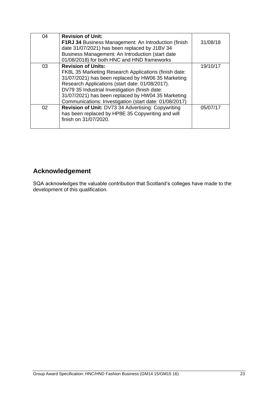| 04 | <b>Revision of Unit:</b>                                    |          |
|----|-------------------------------------------------------------|----------|
|    | <b>F1RJ 34 Business Management: An Introduction (finish</b> | 31/08/18 |
|    | date 31/07/2021) has been replaced by J1BV 34               |          |
|    | Business Management: An Introduction (start date            |          |
|    | 01/08/2018) for both HNC and HND frameworks                 |          |
| 03 | <b>Revision of Units:</b>                                   | 19/10/17 |
|    | FK8L 35 Marketing Research Applications (finish date:       |          |
|    | 31/07/2021) has been replaced by HW06 35 Marketing          |          |
|    | Research Applications (start date: 01/08/2017).             |          |
|    | DV79 35 Industrial Investigation (finish date:              |          |
|    | 31/07/2021) has been replaced by HW04 35 Marketing          |          |
|    | Communications: Investigation (start date: 01/08/2017)      |          |
| 02 | Revision of Unit: DV73 34 Advertising: Copywriting          | 05/07/17 |
|    | has been replaced by HP8E 35 Copywriting and will           |          |
|    | finish on 31/07/2020.                                       |          |
|    |                                                             |          |

## **Acknowledgement**

SQA acknowledges the valuable contribution that Scotland's colleges have made to the development of this qualification.